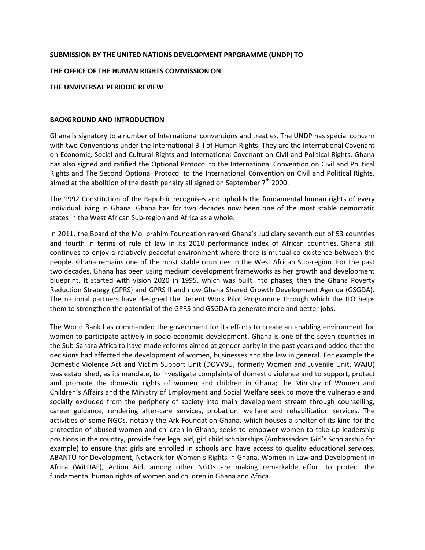## **SUBMISSION BY THE UNITED NATIONS DEVELOPMENT PRPGRAMME (UNDP) TO**

#### **THE OFFICE OF THE HUMAN RIGHTS COMMISSION ON**

#### **THE UNVIVERSAL PERIODIC REVIEW**

#### **BACKGROUND AND INTRODUCTION**

Ghana is signatory to a number of International conventions and treaties. The UNDP has special concern with two Conventions under the International Bill of Human Rights. They are the International Covenant on Economic, Social and Cultural Rights and International Covenant on Civil and Political Rights. Ghana has also signed and ratified the Optional Protocol to the International Convention on Civil and Political Rights and The Second Optional Protocol to the International Convention on Civil and Political Rights, aimed at the abolition of the death penalty all signed on September  $7<sup>th</sup>$  2000.

The 1992 Constitution of the Republic recognises and upholds the fundamental human rights of every individual living in Ghana. Ghana has for two decades now been one of the most stable democratic states in the West African Sub-region and Africa as a whole.

In 2011, the Board of the Mo Ibrahim Foundation ranked Ghana's Judiciary seventh out of 53 countries and fourth in terms of rule of law in its 2010 performance index of African countries. Ghana still continues to enjoy a relatively peaceful environment where there is mutual co-existence between the people. Ghana remains one of the most stable countries in the West African Sub-region. For the past two decades, Ghana has been using medium development frameworks as her growth and development blueprint. It started with vision 2020 in 1995, which was built into phases, then the Ghana Poverty Reduction Strategy (GPRS) and GPRS II and now Ghana Shared Growth Development Agenda (GSGDA). The national partners have designed the Decent Work Pilot Programme through which the ILO helps them to strengthen the potential of the GPRS and GSGDA to generate more and better jobs.

The World Bank has commended the government for its efforts to create an enabling environment for women to participate actively in socio-economic development. Ghana is one of the seven countries in the Sub-Sahara Africa to have made reforms aimed at gender parity in the past years and added that the decisions had affected the development of women, businesses and the law in general. For example the Domestic Violence Act and Victim Support Unit (DOVVSU, formerly Women and Juvenile Unit, WAJU) was established, as its mandate, to investigate complaints of domestic violence and to support, protect and promote the domestic rights of women and children in Ghana; the Ministry of Women and Children's Affairs and the Ministry of Employment and Social Welfare seek to move the vulnerable and socially excluded from the periphery of society into main development stream through counselling, career guidance, rendering after-care services, probation, welfare and rehabilitation services. The activities of some NGOs, notably the Ark Foundation Ghana, which houses a shelter of its kind for the protection of abused women and children in Ghana, seeks to empower women to take up leadership positions in the country, provide free legal aid, girl child scholarships (Ambassadors Girl's Scholarship for example) to ensure that girls are enrolled in schools and have access to quality educational services, ABANTU for Development, Network for Women's Rights in Ghana, Women in Law and Development in Africa (WiLDAF), Action Aid, among other NGOs are making remarkable effort to protect the fundamental human rights of women and children in Ghana and Africa.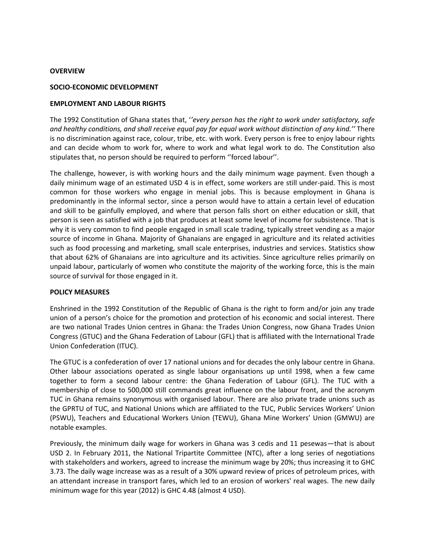#### **OVERVIEW**

#### **SOCIO-ECONOMIC DEVELOPMENT**

#### **EMPLOYMENT AND LABOUR RIGHTS**

The 1992 Constitution of Ghana states that, '*'every person has the right to work under satisfactory, safe and healthy conditions, and shall receive equal pay for equal work without distinction of any kind.''* There is no discrimination against race, colour, tribe, etc. with work. Every person is free to enjoy labour rights and can decide whom to work for, where to work and what legal work to do. The Constitution also stipulates that, no person should be required to perform ''forced labour''.

The challenge, however, is with working hours and the daily minimum wage payment. Even though a daily minimum wage of an estimated USD 4 is in effect, some workers are still under-paid. This is most common for those workers who engage in menial jobs. This is because employment in Ghana is predominantly in the informal sector, since a person would have to attain a certain level of education and skill to be gainfully employed, and where that person falls short on either education or skill, that person is seen as satisfied with a job that produces at least some level of income for subsistence. That is why it is very common to find people engaged in small scale trading, typically street vending as a major source of income in Ghana. Majority of Ghanaians are engaged in agriculture and its related activities such as food processing and marketing, small scale enterprises, industries and services. Statistics show that about 62% of Ghanaians are into agriculture and its activities. Since agriculture relies primarily on unpaid labour, particularly of women who constitute the majority of the working force, this is the main source of survival for those engaged in it.

#### **POLICY MEASURES**

Enshrined in the 1992 Constitution of the Republic of Ghana is the right to form and/or join any trade union of a person's choice for the promotion and protection of his economic and social interest. There are two national Trades Union centres in Ghana: the Trades Union Congress, now Ghana Trades Union Congress (GTUC) and the Ghana Federation of Labour (GFL) that is affiliated with the International Trade Union Confederation (ITUC).

The GTUC is a confederation of over 17 national unions and for decades the only labour centre in Ghana. Other labour associations operated as single labour organisations up until 1998, when a few came together to form a second labour centre: the Ghana Federation of Labour (GFL). The TUC with a membership of close to 500,000 still commands great influence on the labour front, and the acronym TUC in Ghana remains synonymous with organised labour. There are also private trade unions such as the GPRTU of TUC, and National Unions which are affiliated to the TUC, Public Services Workers' Union (PSWU), Teachers and Educational Workers Union (TEWU), Ghana Mine Workers' Union (GMWU) are notable examples.

Previously, the minimum daily wage for workers in Ghana was 3 cedis and 11 pesewas—that is about USD 2. In February 2011, the National Tripartite Committee (NTC), after a long series of negotiations with stakeholders and workers, agreed to increase the minimum wage by 20%; thus increasing it to GHC 3.73. The daily wage increase was as a result of a 30% upward review of prices of petroleum prices, with an attendant increase in transport fares, which led to an erosion of workers' real wages. The new daily minimum wage for this year (2012) is GHC 4.48 (almost 4 USD).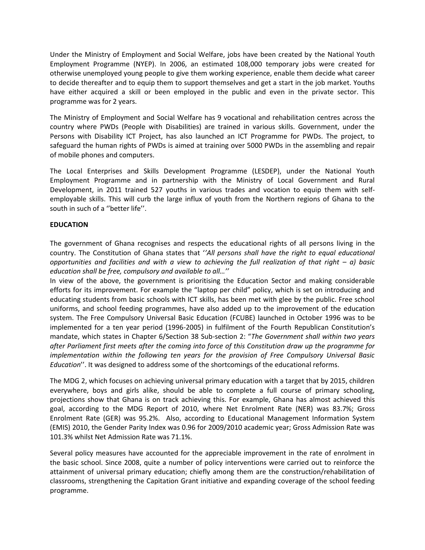Under the Ministry of Employment and Social Welfare, jobs have been created by the National Youth Employment Programme (NYEP). In 2006, an estimated 108,000 temporary jobs were created for otherwise unemployed young people to give them working experience, enable them decide what career to decide thereafter and to equip them to support themselves and get a start in the job market. Youths have either acquired a skill or been employed in the public and even in the private sector. This programme was for 2 years.

The Ministry of Employment and Social Welfare has 9 vocational and rehabilitation centres across the country where PWDs (People with Disabilities) are trained in various skills. Government, under the Persons with Disability ICT Project, has also launched an ICT Programme for PWDs. The project, to safeguard the human rights of PWDs is aimed at training over 5000 PWDs in the assembling and repair of mobile phones and computers.

The Local Enterprises and Skills Development Programme (LESDEP), under the National Youth Employment Programme and in partnership with the Ministry of Local Government and Rural Development, in 2011 trained 527 youths in various trades and vocation to equip them with selfemployable skills. This will curb the large influx of youth from the Northern regions of Ghana to the south in such of a "better life".

# **EDUCATION**

The government of Ghana recognises and respects the educational rights of all persons living in the country. The Constitution of Ghana states that '*'All persons shall have the right to equal educational opportunities and facilities and with a view to achieving the full realization of that right – a) basic education shall be free, compulsory and available to all…''*

In view of the above, the government is prioritising the Education Sector and making considerable efforts for its improvement. For example the "laptop per child" policy, which is set on introducing and educating students from basic schools with ICT skills, has been met with glee by the public. Free school uniforms, and school feeding programmes, have also added up to the improvement of the education system. The Free Compulsory Universal Basic Education (FCUBE) launched in October 1996 was to be implemented for a ten year period (1996-2005) in fulfilment of the Fourth Republican Constitution's mandate, which states in Chapter 6/Section 38 Sub-section 2: "*The Government shall within two years after Parliament first meets after the coming into force of this Constitution draw up the programme for implementation within the following ten years for the provision of Free Compulsory Universal Basic Education*''. It was designed to address some of the shortcomings of the educational reforms.

The MDG 2, which focuses on achieving universal primary education with a target that by 2015, children everywhere, boys and girls alike, should be able to complete a full course of primary schooling, projections show that Ghana is on track achieving this. For example, Ghana has almost achieved this goal, according to the MDG Report of 2010, where Net Enrolment Rate (NER) was 83.7%; Gross Enrolment Rate (GER) was 95.2%. Also, according to Educational Management Information System (EMIS) 2010, the Gender Parity Index was 0.96 for 2009/2010 academic year; Gross Admission Rate was 101.3% whilst Net Admission Rate was 71.1%.

Several policy measures have accounted for the appreciable improvement in the rate of enrolment in the basic school. Since 2008, quite a number of policy interventions were carried out to reinforce the attainment of universal primary education; chiefly among them are the construction/rehabilitation of classrooms, strengthening the Capitation Grant initiative and expanding coverage of the school feeding programme.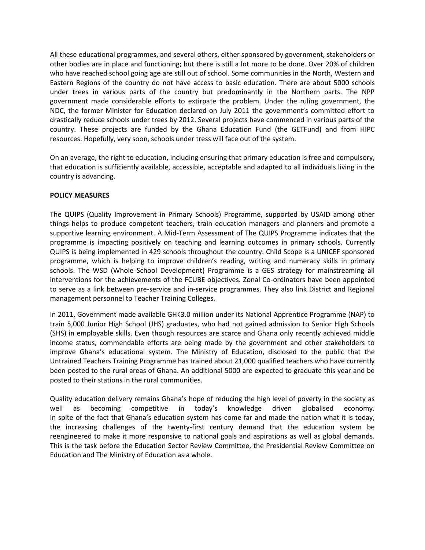All these educational programmes, and several others, either sponsored by government, stakeholders or other bodies are in place and functioning; but there is still a lot more to be done. Over 20% of children who have reached school going age are still out of school. Some communities in the North, Western and Eastern Regions of the country do not have access to basic education. There are about 5000 schools under trees in various parts of the country but predominantly in the Northern parts. The NPP government made considerable efforts to extirpate the problem. Under the ruling government, the NDC, the former Minister for Education declared on July 2011 the government's committed effort to drastically reduce schools under trees by 2012. Several projects have commenced in various parts of the country. These projects are funded by the Ghana Education Fund (the GETFund) and from HIPC resources. Hopefully, very soon, schools under tress will face out of the system.

On an average, the right to education, including ensuring that primary education is free and compulsory, that education is sufficiently available, accessible, acceptable and adapted to all individuals living in the country is advancing.

# **POLICY MEASURES**

The QUIPS (Quality Improvement in Primary Schools) Programme, supported by USAID among other things helps to produce competent teachers, train education managers and planners and promote a supportive learning environment. A Mid-Term Assessment of The QUIPS Programme indicates that the programme is impacting positively on teaching and learning outcomes in primary schools. Currently QUIPS is being implemented in 429 schools throughout the country. Child Scope is a UNICEF sponsored programme, which is helping to improve children's reading, writing and numeracy skills in primary schools. The WSD (Whole School Development) Programme is a GES strategy for mainstreaming all interventions for the achievements of the FCUBE objectives. Zonal Co-ordinators have been appointed to serve as a link between pre-service and in-service programmes. They also link District and Regional management personnel to Teacher Training Colleges.

In 2011, Government made available GH¢3.0 million under its National Apprentice Programme (NAP) to train 5,000 Junior High School (JHS) graduates, who had not gained admission to Senior High Schools (SHS) in employable skills. Even though resources are scarce and Ghana only recently achieved middle income status, commendable efforts are being made by the government and other stakeholders to improve Ghana's educational system. The Ministry of Education, disclosed to the public that the Untrained Teachers Training Programme has trained about 21,000 qualified teachers who have currently been posted to the rural areas of Ghana. An additional 5000 are expected to graduate this year and be posted to their stations in the rural communities.

Quality education delivery remains Ghana's hope of reducing the high level of poverty in the society as well as becoming competitive in today's knowledge driven globalised economy. In spite of the fact that Ghana's education system has come far and made the nation what it is today, the increasing challenges of the twenty-first century demand that the education system be reengineered to make it more responsive to national goals and aspirations as well as global demands. This is the task before the Education Sector Review Committee, the Presidential Review Committee on Education and The Ministry of Education as a whole.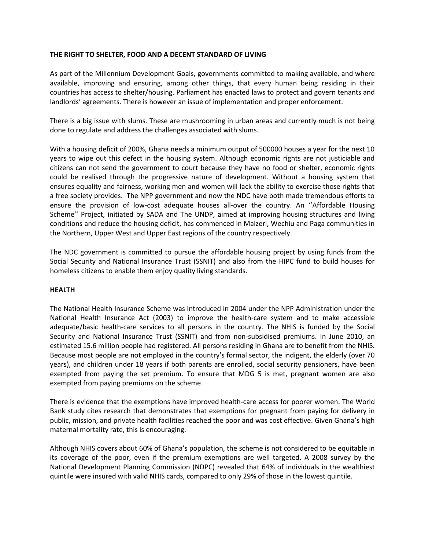# **THE RIGHT TO SHELTER, FOOD AND A DECENT STANDARD OF LIVING**

As part of the Millennium Development Goals, governments committed to making available, and where available, improving and ensuring, among other things, that every human being residing in their countries has access to shelter/housing. Parliament has enacted laws to protect and govern tenants and landlords' agreements. There is however an issue of implementation and proper enforcement.

There is a big issue with slums. These are mushrooming in urban areas and currently much is not being done to regulate and address the challenges associated with slums.

With a housing deficit of 200%, Ghana needs a minimum output of 500000 houses a year for the next 10 years to wipe out this defect in the housing system. Although economic rights are not justiciable and citizens can not send the government to court because they have no food or shelter, economic rights could be realised through the progressive nature of development. Without a housing system that ensures equality and fairness, working men and women will lack the ability to exercise those rights that a free society provides. The NPP government and now the NDC have both made tremendous efforts to ensure the provision of low-cost adequate houses all-over the country. An ''Affordable Housing Scheme'' Project, initiated by SADA and The UNDP, aimed at improving housing structures and living conditions and reduce the housing deficit, has commenced in Malzeri, Wechiu and Paga communities in the Northern, Upper West and Upper East regions of the country respectively.

The NDC government is committed to pursue the affordable housing project by using funds from the Social Security and National Insurance Trust (SSNIT) and also from the HIPC fund to build houses for homeless citizens to enable them enjoy quality living standards.

# **HEALTH**

The National Health Insurance Scheme was introduced in 2004 under the NPP Administration under the National Health Insurance Act (2003) to improve the health-care system and to make accessible adequate/basic health-care services to all persons in the country. The NHIS is funded by the Social Security and National Insurance Trust (SSNIT) and from non-subsidised premiums. In June 2010, an estimated 15.6 million people had registered. All persons residing in Ghana are to benefit from the NHIS. Because most people are not employed in the country's formal sector, the indigent, the elderly (over 70 years), and children under 18 years if both parents are enrolled, social security pensioners, have been exempted from paying the set premium. To ensure that MDG 5 is met, pregnant women are also exempted from paying premiums on the scheme.

There is evidence that the exemptions have improved health-care access for poorer women. The World Bank study cites research that demonstrates that exemptions for pregnant from paying for delivery in public, mission, and private health facilities reached the poor and was cost effective. Given Ghana's high maternal mortality rate, this is encouraging.

Although NHIS covers about 60% of Ghana's population, the scheme is not considered to be equitable in its coverage of the poor, even if the premium exemptions are well targeted. A 2008 survey by the National Development Planning Commission (NDPC) revealed that 64% of individuals in the wealthiest quintile were insured with valid NHIS cards, compared to only 29% of those in the lowest quintile.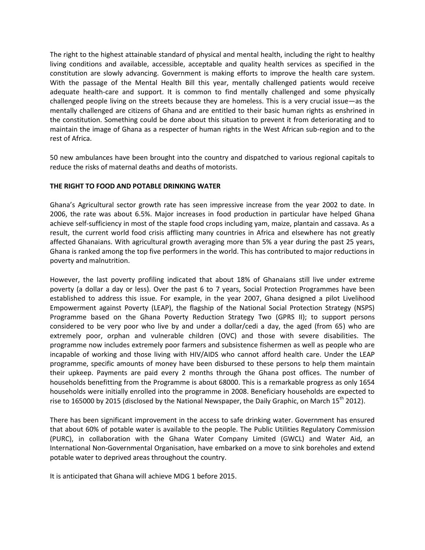The right to the highest attainable standard of physical and mental health, including the right to healthy living conditions and available, accessible, acceptable and quality health services as specified in the constitution are slowly advancing. Government is making efforts to improve the health care system. With the passage of the Mental Health Bill this year, mentally challenged patients would receive adequate health-care and support. It is common to find mentally challenged and some physically challenged people living on the streets because they are homeless. This is a very crucial issue—as the mentally challenged are citizens of Ghana and are entitled to their basic human rights as enshrined in the constitution. Something could be done about this situation to prevent it from deteriorating and to maintain the image of Ghana as a respecter of human rights in the West African sub-region and to the rest of Africa.

50 new ambulances have been brought into the country and dispatched to various regional capitals to reduce the risks of maternal deaths and deaths of motorists.

# **THE RIGHT TO FOOD AND POTABLE DRINKING WATER**

Ghana's Agricultural sector growth rate has seen impressive increase from the year 2002 to date. In 2006, the rate was about 6.5%. Major increases in food production in particular have helped Ghana achieve self-sufficiency in most of the staple food crops including yam, maize, plantain and cassava. As a result, the current world food crisis afflicting many countries in Africa and elsewhere has not greatly affected Ghanaians. With agricultural growth averaging more than 5% a year during the past 25 years, Ghana is ranked among the top five performers in the world. This has contributed to major reductions in poverty and malnutrition.

However, the last poverty profiling indicated that about 18% of Ghanaians still live under extreme poverty (a dollar a day or less). Over the past 6 to 7 years, Social Protection Programmes have been established to address this issue. For example, in the year 2007, Ghana designed a pilot Livelihood Empowerment against Poverty (LEAP), the flagship of the National Social Protection Strategy (NSPS) Programme based on the Ghana Poverty Reduction Strategy Two (GPRS II); to support persons considered to be very poor who live by and under a dollar/cedi a day, the aged (from 65) who are extremely poor, orphan and vulnerable children (OVC) and those with severe disabilities. The programme now includes extremely poor farmers and subsistence fishermen as well as people who are incapable of working and those living with HIV/AIDS who cannot afford health care. Under the LEAP programme, specific amounts of money have been disbursed to these persons to help them maintain their upkeep. Payments are paid every 2 months through the Ghana post offices. The number of households benefitting from the Programme is about 68000. This is a remarkable progress as only 1654 households were initially enrolled into the programme in 2008. Beneficiary households are expected to rise to 165000 by 2015 (disclosed by the National Newspaper, the Daily Graphic, on March 15<sup>th</sup> 2012).

There has been significant improvement in the access to safe drinking water. Government has ensured that about 60% of potable water is available to the people. The Public Utilities Regulatory Commission (PURC), in collaboration with the Ghana Water Company Limited (GWCL) and Water Aid, an International Non-Governmental Organisation, have embarked on a move to sink boreholes and extend potable water to deprived areas throughout the country.

It is anticipated that Ghana will achieve MDG 1 before 2015.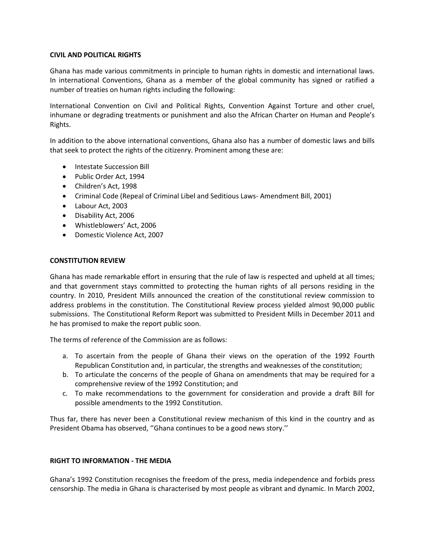# **CIVIL AND POLITICAL RIGHTS**

Ghana has made various commitments in principle to human rights in domestic and international laws. In international Conventions, Ghana as a member of the global community has signed or ratified a number of treaties on human rights including the following:

International Convention on Civil and Political Rights, Convention Against Torture and other cruel, inhumane or degrading treatments or punishment and also the African Charter on Human and People's Rights.

In addition to the above international conventions, Ghana also has a number of domestic laws and bills that seek to protect the rights of the citizenry. Prominent among these are:

- Intestate Succession Bill
- Public Order Act, 1994
- Children's Act, 1998
- Criminal Code (Repeal of Criminal Libel and Seditious Laws- Amendment Bill, 2001)
- Labour Act, 2003
- Disability Act, 2006
- Whistleblowers' Act, 2006
- Domestic Violence Act, 2007

# **CONSTITUTION REVIEW**

Ghana has made remarkable effort in ensuring that the rule of law is respected and upheld at all times; and that government stays committed to protecting the human rights of all persons residing in the country. In 2010, President Mills announced the creation of the constitutional review commission to address problems in the constitution. The Constitutional Review process yielded almost 90,000 public submissions. The Constitutional Reform Report was submitted to President Mills in December 2011 and he has promised to make the report public soon.

The terms of reference of the Commission are as follows:

- a. To ascertain from the people of Ghana their views on the operation of the 1992 Fourth Republican Constitution and, in particular, the strengths and weaknesses of the constitution;
- b. To articulate the concerns of the people of Ghana on amendments that may be required for a comprehensive review of the 1992 Constitution; and
- c. To make recommendations to the government for consideration and provide a draft Bill for possible amendments to the 1992 Constitution.

Thus far, there has never been a Constitutional review mechanism of this kind in the country and as President Obama has observed, ''Ghana continues to be a good news story.''

# **RIGHT TO INFORMATION - THE MEDIA**

Ghana's 1992 Constitution recognises the freedom of the press, media independence and forbids press censorship. The media in Ghana is characterised by most people as vibrant and dynamic. In March 2002,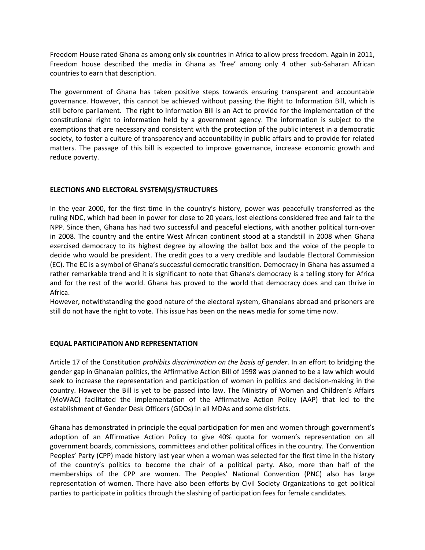Freedom House rated Ghana as among only six countries in Africa to allow press freedom. Again in 2011, Freedom house described the media in Ghana as 'free' among only 4 other sub-Saharan African countries to earn that description.

The government of Ghana has taken positive steps towards ensuring transparent and accountable governance. However, this cannot be achieved without passing the Right to Information Bill, which is still before parliament. The right to information Bill is an Act to provide for the implementation of the constitutional right to information held by a government agency. The information is subject to the exemptions that are necessary and consistent with the protection of the public interest in a democratic society, to foster a culture of transparency and accountability in public affairs and to provide for related matters. The passage of this bill is expected to improve governance, increase economic growth and reduce poverty.

# **ELECTIONS AND ELECTORAL SYSTEM(S)/STRUCTURES**

In the year 2000, for the first time in the country's history, power was peacefully transferred as the ruling NDC, which had been in power for close to 20 years, lost elections considered free and fair to the NPP. Since then, Ghana has had two successful and peaceful elections, with another political turn-over in 2008. The country and the entire West African continent stood at a standstill in 2008 when Ghana exercised democracy to its highest degree by allowing the ballot box and the voice of the people to decide who would be president. The credit goes to a very credible and laudable Electoral Commission (EC). The EC is a symbol of Ghana's successful democratic transition. Democracy in Ghana has assumed a rather remarkable trend and it is significant to note that Ghana's democracy is a telling story for Africa and for the rest of the world. Ghana has proved to the world that democracy does and can thrive in Africa.

However, notwithstanding the good nature of the electoral system, Ghanaians abroad and prisoners are still do not have the right to vote. This issue has been on the news media for some time now.

# **EQUAL PARTICIPATION AND REPRESENTATION**

Article 17 of the Constitution *prohibits discrimination on the basis of gender*. In an effort to bridging the gender gap in Ghanaian politics, the Affirmative Action Bill of 1998 was planned to be a law which would seek to increase the representation and participation of women in politics and decision-making in the country. However the Bill is yet to be passed into law. The Ministry of Women and Children's Affairs (MoWAC) facilitated the implementation of the Affirmative Action Policy (AAP) that led to the establishment of Gender Desk Officers (GDOs) in all MDAs and some districts.

Ghana has demonstrated in principle the equal participation for men and women through government's adoption of an Affirmative Action Policy to give 40% quota for women's representation on all government boards, commissions, committees and other political offices in the country. The Convention Peoples' Party (CPP) made history last year when a woman was selected for the first time in the history of the country's politics to become the chair of a political party. Also, more than half of the memberships of the CPP are women. The Peoples' National Convention (PNC) also has large representation of women. There have also been efforts by Civil Society Organizations to get political parties to participate in politics through the slashing of participation fees for female candidates.